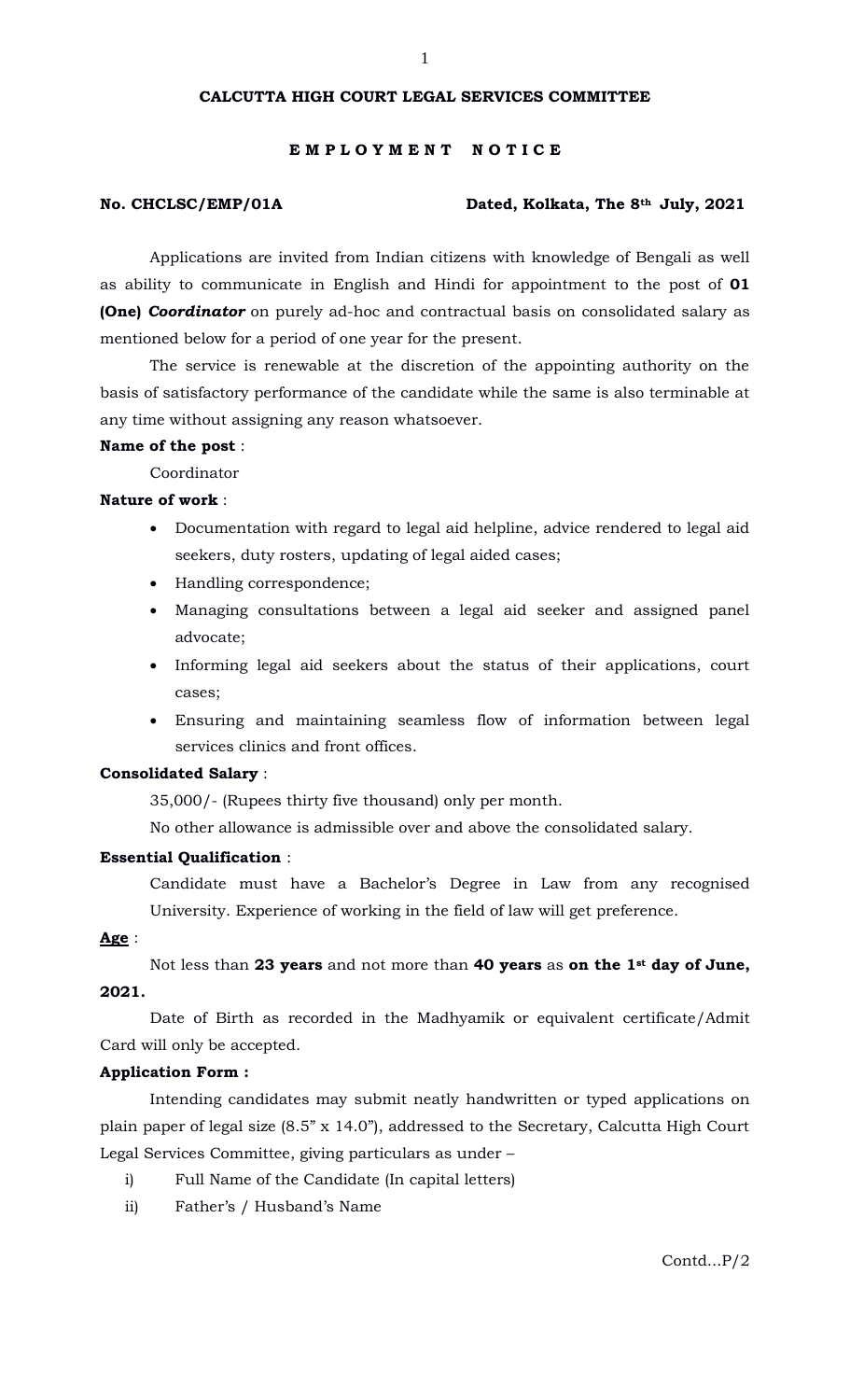### **CALCUTTA HIGH COURT LEGAL SERVICES COMMITTEE**

#### **E M P L O Y M E N T N O T I C E**

#### **No. CHCLSC/EMP/01A Dated, Kolkata, The 8th July, 2021**

Applications are invited from Indian citizens with knowledge of Bengali as well as ability to communicate in English and Hindi for appointment to the post of **01 (One)** *Coordinator* on purely ad-hoc and contractual basis on consolidated salary as mentioned below for a period of one year for the present.

The service is renewable at the discretion of the appointing authority on the basis of satisfactory performance of the candidate while the same is also terminable at any time without assigning any reason whatsoever.

#### **Name of the post** :

Coordinator

### **Nature of work** :

- Documentation with regard to legal aid helpline, advice rendered to legal aid seekers, duty rosters, updating of legal aided cases;
- Handling correspondence;
- Managing consultations between a legal aid seeker and assigned panel advocate;
- Informing legal aid seekers about the status of their applications, court cases;
- Ensuring and maintaining seamless flow of information between legal services clinics and front offices.

#### **Consolidated Salary** :

35,000/- (Rupees thirty five thousand) only per month.

No other allowance is admissible over and above the consolidated salary.

#### **Essential Qualification** :

Candidate must have a Bachelor's Degree in Law from any recognised University. Experience of working in the field of law will get preference.

**Age** :

Not less than **23 years** and not more than **40 years** as **on the 1st day of June, 2021.** 

Date of Birth as recorded in the Madhyamik or equivalent certificate/Admit Card will only be accepted.

#### **Application Form :**

Intending candidates may submit neatly handwritten or typed applications on plain paper of legal size (8.5" x 14.0"), addressed to the Secretary, Calcutta High Court Legal Services Committee, giving particulars as under –

- i) Full Name of the Candidate (In capital letters)
- ii) Father's / Husband's Name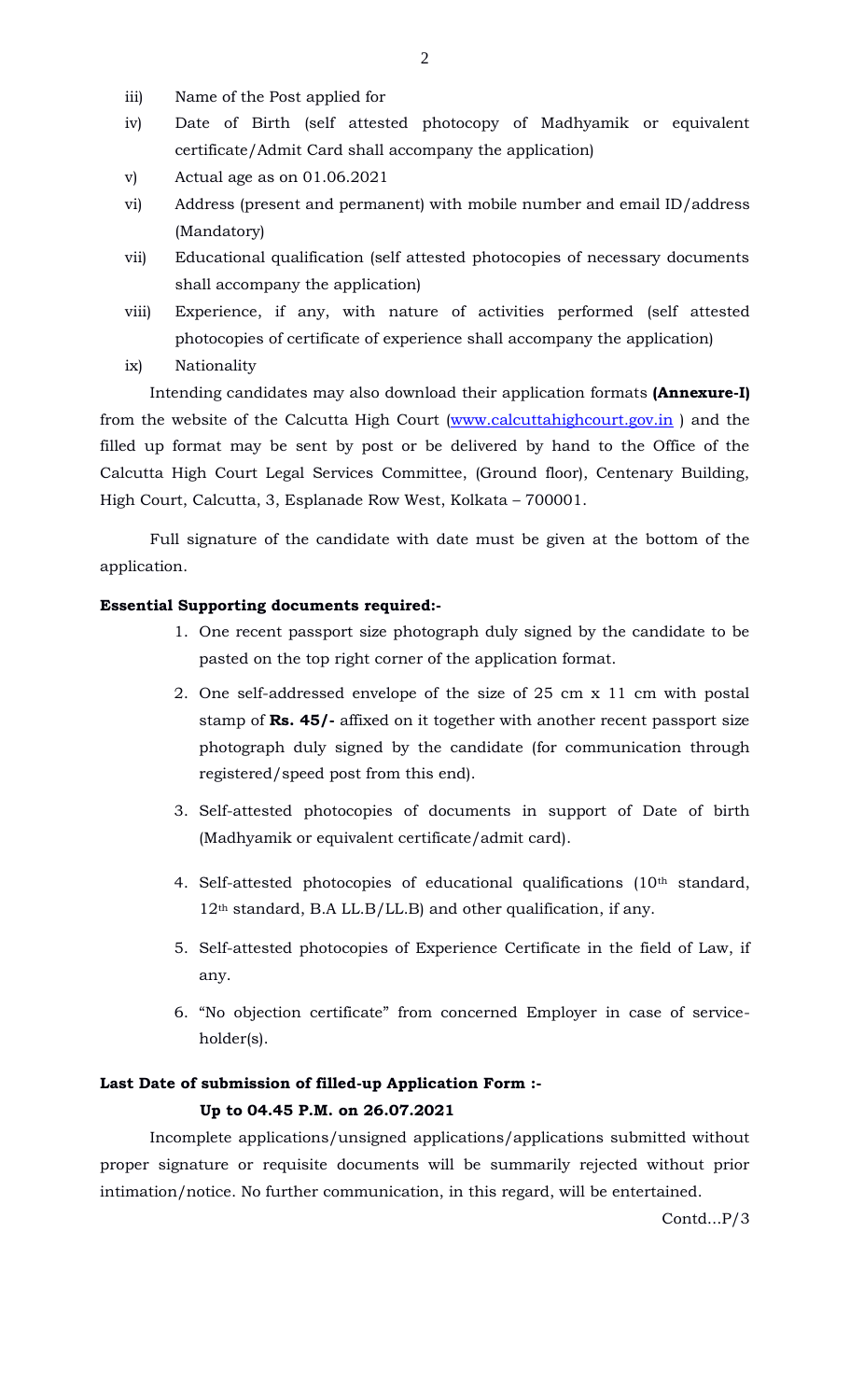- iii) Name of the Post applied for
- iv) Date of Birth (self attested photocopy of Madhyamik or equivalent certificate/Admit Card shall accompany the application)
- v) Actual age as on 01.06.2021
- vi) Address (present and permanent) with mobile number and email ID/address (Mandatory)
- vii) Educational qualification (self attested photocopies of necessary documents shall accompany the application)
- viii) Experience, if any, with nature of activities performed (self attested photocopies of certificate of experience shall accompany the application)
- ix) Nationality

Intending candidates may also download their application formats **(Annexure-I)** from the website of the Calcutta High Court [\(www.calcuttahighcourt.gov.in](http://www.calcuttahighcourt.gov.in/)) and the filled up format may be sent by post or be delivered by hand to the Office of the Calcutta High Court Legal Services Committee, (Ground floor), Centenary Building, High Court, Calcutta, 3, Esplanade Row West, Kolkata – 700001.

Full signature of the candidate with date must be given at the bottom of the application.

### **Essential Supporting documents required:-**

- 1. One recent passport size photograph duly signed by the candidate to be pasted on the top right corner of the application format.
- 2. One self-addressed envelope of the size of 25 cm x 11 cm with postal stamp of **Rs. 45/-** affixed on it together with another recent passport size photograph duly signed by the candidate (for communication through registered/speed post from this end).
- 3. Self-attested photocopies of documents in support of Date of birth (Madhyamik or equivalent certificate/admit card).
- 4. Self-attested photocopies of educational qualifications (10th standard, 12<sup>th</sup> standard, B.A LL.B/LL.B) and other qualification, if any.
- 5. Self-attested photocopies of Experience Certificate in the field of Law, if any.
- 6. "No objection certificate" from concerned Employer in case of serviceholder(s).

## **Last Date of submission of filled-up Application Form :- Up to 04.45 P.M. on 26.07.2021**

Incomplete applications/unsigned applications/applications submitted without proper signature or requisite documents will be summarily rejected without prior intimation/notice. No further communication, in this regard, will be entertained.

Contd...P/3

2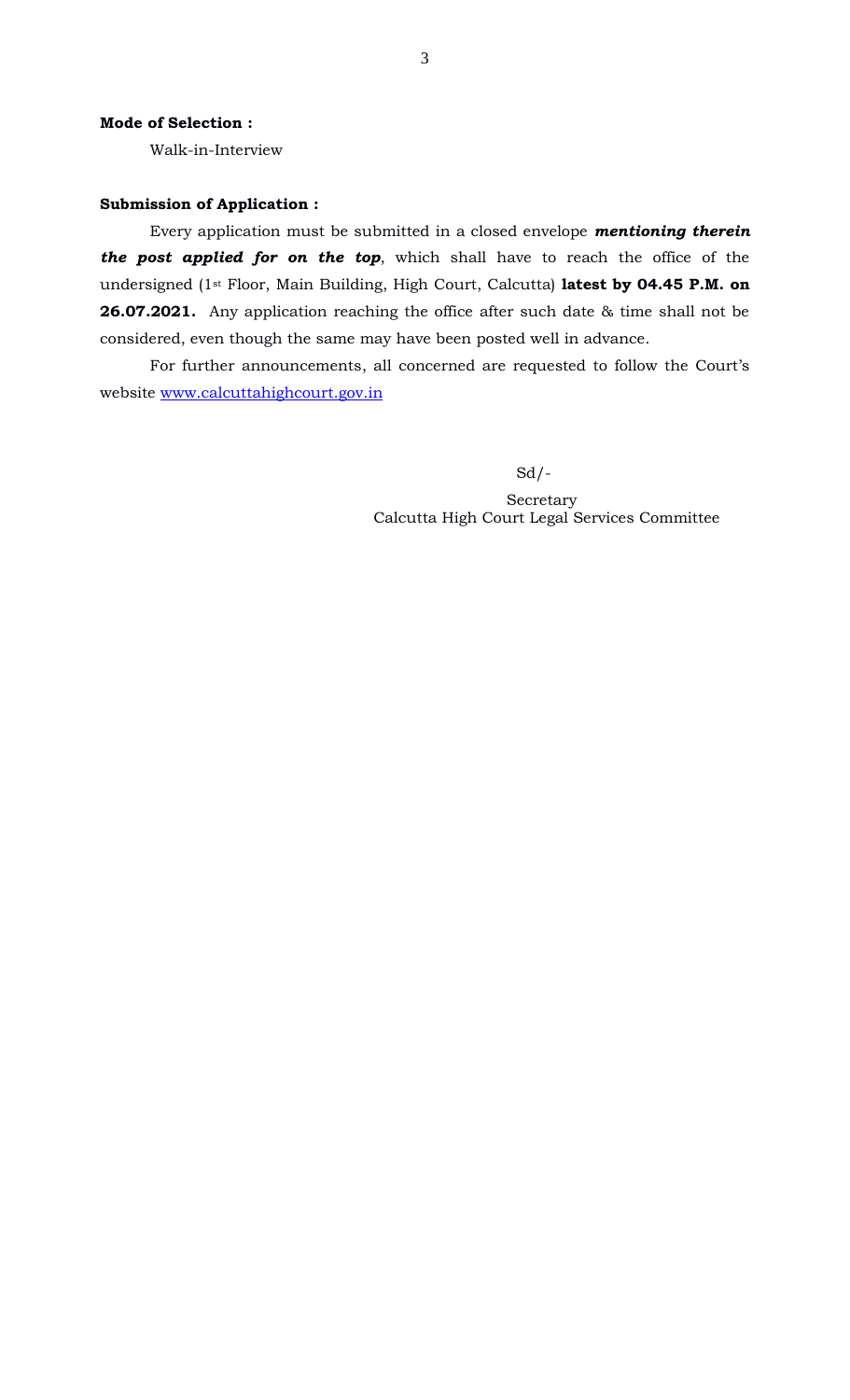Walk-in-Interview

#### **Submission of Application :**

Every application must be submitted in a closed envelope *mentioning therein the post applied for on the top*, which shall have to reach the office of the undersigned (1st Floor, Main Building, High Court, Calcutta) **latest by 04.45 P.M. on 26.07.2021.** Any application reaching the office after such date & time shall not be considered, even though the same may have been posted well in advance.

For further announcements, all concerned are requested to follow the Court's website [www.calcuttahighcourt.gov.in](http://www.calcuttahighcourt.gov.in/)

Sd/-

 Secretary Calcutta High Court Legal Services Committee